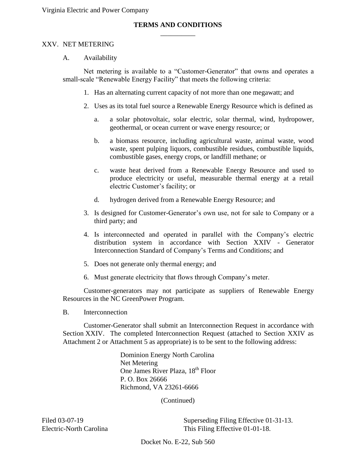# \_\_\_\_\_\_\_\_\_\_ **TERMS AND CONDITIONS**

#### XXV. NET METERING

A. Availability

 Net metering is available to a "Customer-Generator" that owns and operates a small-scale "Renewable Energy Facility" that meets the following criteria:

- 1. Has an alternating current capacity of not more than one megawatt; and
- 2. Uses as its total fuel source a Renewable Energy Resource which is defined as
	- $a<sub>z</sub>$ a. a solar photovoltaic, solar electric, solar thermal, wind, hydropower, geothermal, or ocean current or wave energy resource; or
	- combustible gases, energy crops, or landfill methane; or b. a biomass resource, including agricultural waste, animal waste, wood waste, spent pulping liquors, combustible residues, combustible liquids,
	- c. waste heat derived from a Renewable Energy Resource and used to produce electricity or useful, measurable thermal energy at a retail electric Customer's facility; or
	- d. hydrogen derived from a Renewable Energy Resource; and
- 3. Is designed for Customer-Generator's own use, not for sale to Company or a third party; and
- distribution system in accordance with Section XXIV Generator Interconnection Standard of Company's Terms and Conditions; and 4. Is interconnected and operated in parallel with the Company's electric
- 5. Does not generate only thermal energy; and
- 6. Must generate electricity that flows through Company's meter.

 Resources in the NC GreenPower Program. Customer-generators may not participate as suppliers of Renewable Energy

B. Interconnection

 Section XXIV. The completed Interconnection Request (attached to Section XXIV as Attachment 2 or Attachment 5 as appropriate) is to be sent to the following address: Customer-Generator shall submit an Interconnection Request in accordance with

> One James River Plaza, 18<sup>th</sup> Floor Dominion Energy North Carolina Net Metering P. O. Box 26666 Richmond, VA 23261-6666

> > (Continued)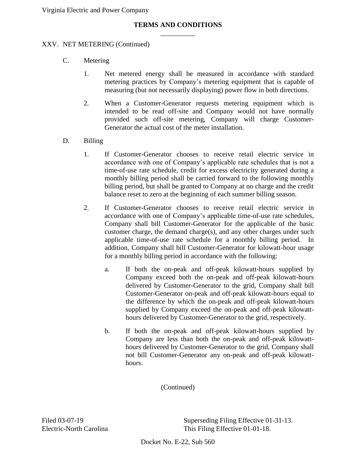# \_\_\_\_\_\_\_\_\_\_ **TERMS AND CONDITIONS**

## XXV. NET METERING (Continued)

- C. Metering
	- 1. Net metered energy shall be measured in accordance with standard metering practices by Company's metering equipment that is capable of measuring (but not necessarily displaying) power flow in both directions.
	- 2. When a Customer-Generator requests metering equipment which is intended to be read off-site and Company would not have normally provided such off-site metering, Company will charge Customer-Generator the actual cost of the meter installation.
- D. **Billing** 
	- $1<sup>1</sup>$  accordance with one of Company's applicable rate schedules that is not a time-of-use rate schedule, credit for excess electricity generated during a monthly billing period shall be carried forward to the following monthly billing period, but shall be granted to Company at no charge and the credit If Customer-Generator chooses to receive retail electric service in balance reset to zero at the beginning of each summer billing season.
	- $2.$  accordance with one of Company's applicable time-of-use rate schedules, Company shall bill Customer-Generator for the applicable of the basic customer charge, the demand charge(s), and any other charges under such applicable time-of-use rate schedule for a monthly billing period. In addition, Company shall bill Customer-Generator for kilowatt-hour usage If Customer-Generator chooses to receive retail electric service in for a monthly billing period in accordance with the following:
		- the difference by which the on-peak and off-peak kilowatt-hours supplied by Company exceed the on-peak and off-peak kilowatta. If both the on-peak and off-peak kilowatt-hours supplied by Company exceed both the on-peak and off-peak kilowatt-hours delivered by Customer-Generator to the grid, Company shall bill Customer-Generator on-peak and off-peak kilowatt-hours equal to hours delivered by Customer-Generator to the grid, respectively.
		- Company are less than both the on-peak and off-peak kilowatt- hours delivered by Customer-Generator to the grid, Company shall b. If both the on-peak and off-peak kilowatt-hours supplied by not bill Customer-Generator any on-peak and off-peak kilowatthours.

(Continued)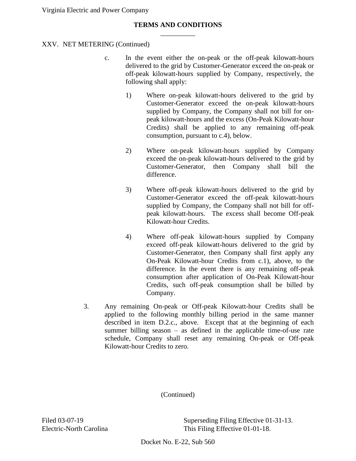## \_\_\_\_\_\_\_\_\_\_ **TERMS AND CONDITIONS**

## XXV. NET METERING (Continued)

- c. In the event either the on-peak or the off-peak kilowatt-hours delivered to the grid by Customer-Generator exceed the on-peak or off-peak kilowatt-hours supplied by Company, respectively, the following shall apply:
	- supplied by Company, the Company shall not bill for on-1) Where on-peak kilowatt-hours delivered to the grid by Customer-Generator exceed the on-peak kilowatt-hours peak kilowatt-hours and the excess (On-Peak Kilowatt-hour Credits) shall be applied to any remaining off-peak consumption, pursuant to c.4), below.
	- 2) Where on-peak kilowatt-hours supplied by Company Customer-Generator, then Company shall bill the exceed the on-peak kilowatt-hours delivered to the grid by difference.
	- 3) Where off-peak kilowatt-hours delivered to the grid by supplied by Company, the Company shall not bill for off- peak kilowatt-hours. The excess shall become Off-peak Customer-Generator exceed the off-peak kilowatt-hours Kilowatt-hour Credits.
	- 4) Where off-peak kilowatt-hours supplied by Company Customer-Generator, then Company shall first apply any difference. In the event there is any remaining off-peak Credits, such off-peak consumption shall be billed by Company. exceed off-peak kilowatt-hours delivered to the grid by On-Peak Kilowatt-hour Credits from c.1), above, to the consumption after application of On-Peak Kilowatt-hour
- Company.<br>
3. Any remaining On-peak or Off-peak Kilowatt-hour Credits shall be applied to the following monthly billing period in the same manner described in item D.2.c., above. Except that at the beginning of each summer billing season – as defined in the applicable time-of-use rate schedule, Company shall reset any remaining On-peak or Off-peak Kilowatt-hour Credits to zero.

(Continued)